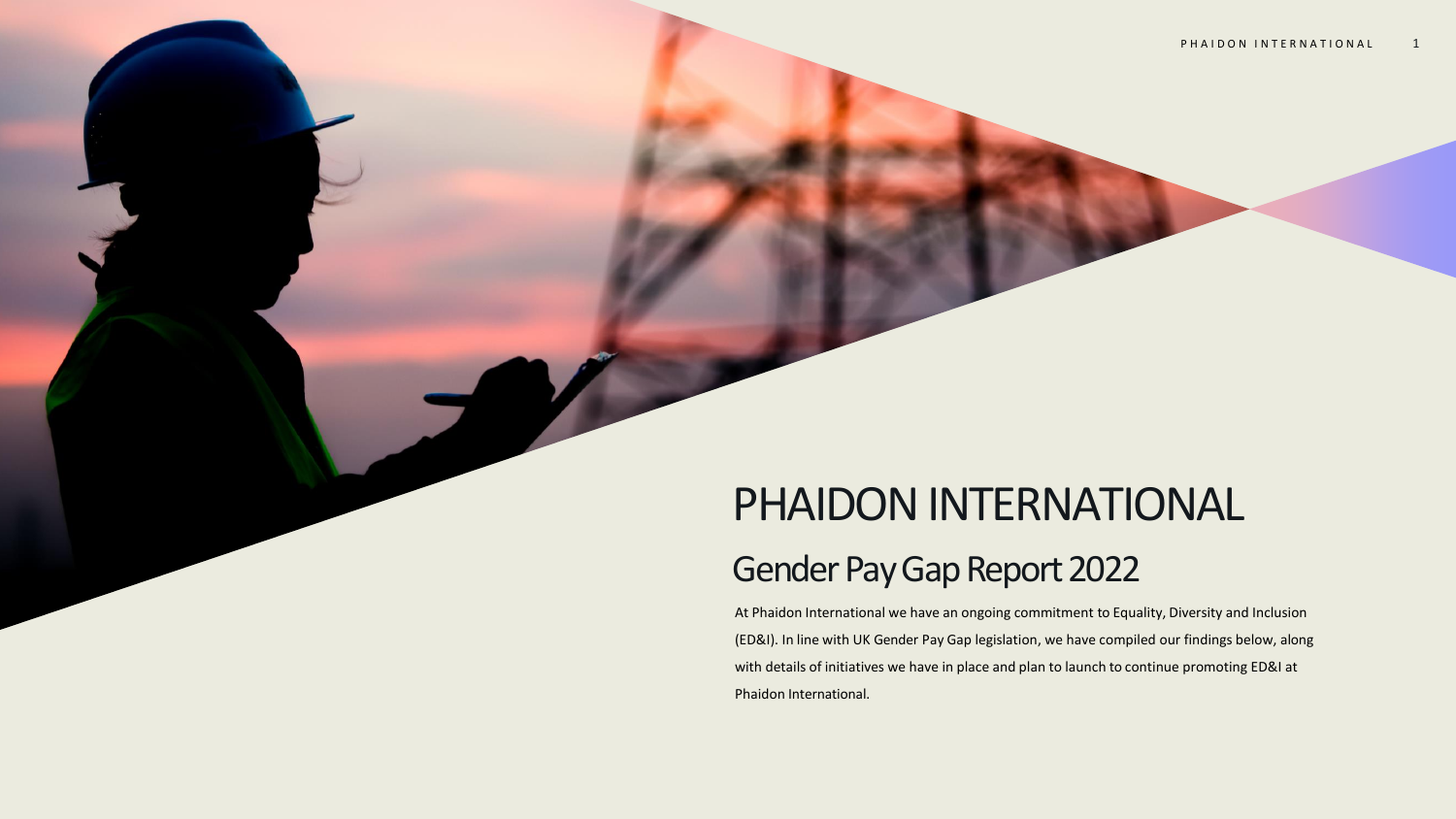# PHAIDON INTERNATIONAL

## Gender Pay Gap Report 2022

At Phaidon International we have an ongoing commitment to Equality, Diversity and Inclusion (ED&I). In line with UK Gender Pay Gap legislation, we have compiled our findings below, along with details of initiatives we have in place and plan to launch to continue promoting ED&I at Phaidon International.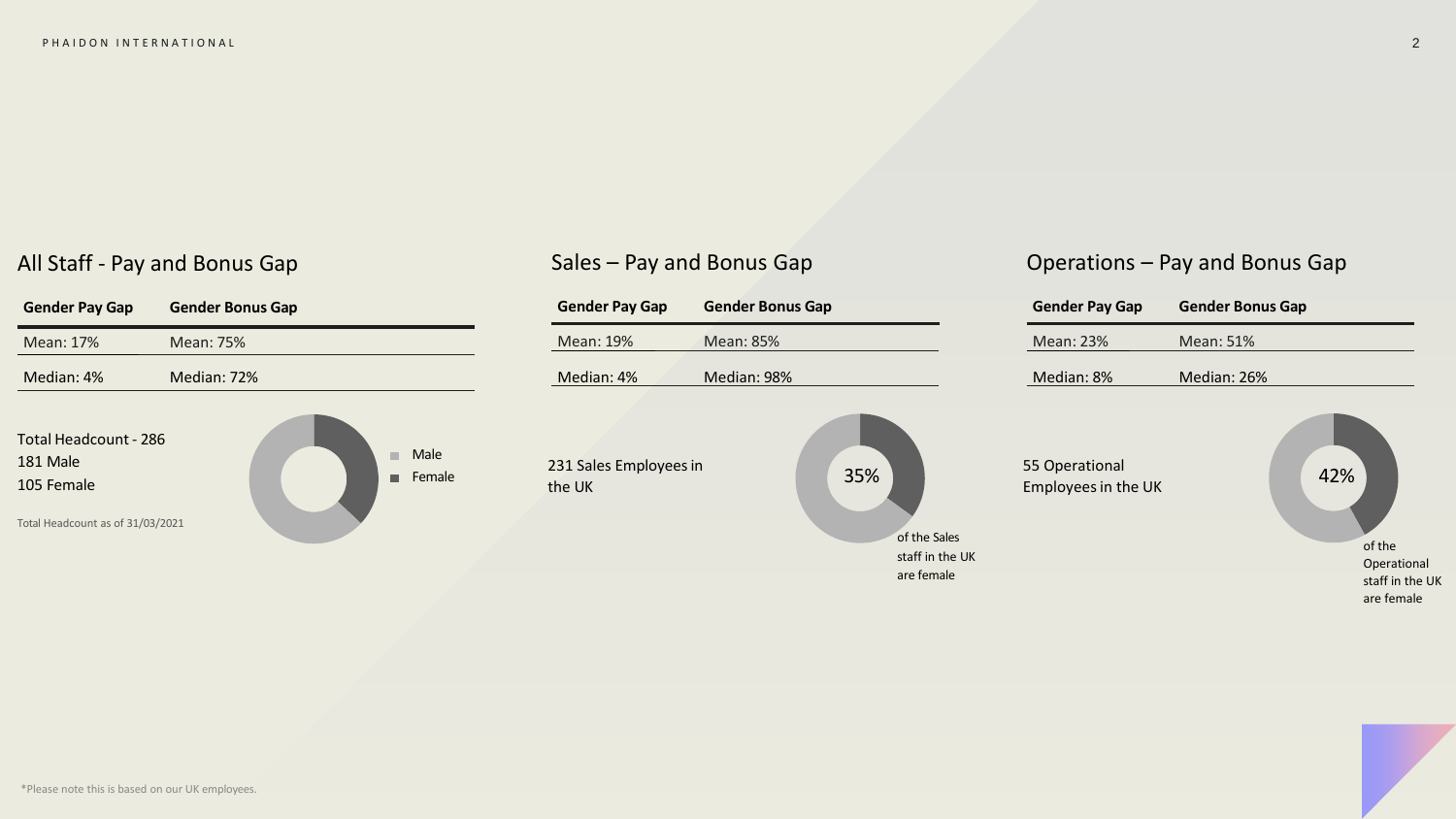## All Staff - Pay and Bonus Gap



## Sales – Pay and Bonus Gap

#### 35% of the Sales staff in the UK are female 231 Sales Employees in the UK **Gender Pay Gap Gender Bonus Gap** Mean: 19% Mean: 85% Median: 4% Median: 98% 42% 55 Operational Employees in the UK **Gender Pay Gap Gender Bonus Gap** Mean: 23% Mean: 51% Median: 8% Median: 26% of the Operational staff in the UK are female

Operations – Pay and Bonus Gap